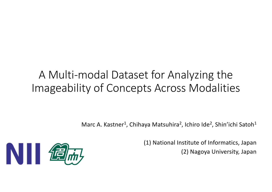## A Multi-modal Dataset for Analyzing the Imageability of Concepts Across Modalities

Marc A. Kastner<sup>1</sup>, Chihaya Matsuhira<sup>2</sup>, Ichiro Ide<sup>2</sup>, Shin'ichi Satoh<sup>1</sup>



(1) National Institute of Informatics, Japan (2) Nagoya University, Japan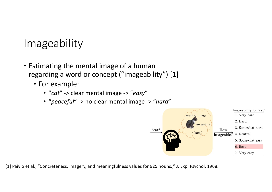## Imageability

- Estimating the mental image of a human regarding a word or concept ("imageability") [1]
	- For example:
		- "*cat*" -> clear mental image -> "*easy*"
		- "*peaceful*" -> no clear mental image -> "*hard*"



[1] Paivio et al., "Concreteness, imagery, and meaningfulness values for 925 nouns.," J. Exp. Psychol, 1968.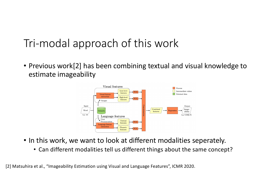## Tri-modal approach of this work

• Previous work[2] has been combining textual and visual knowledge to estimate imageability



- In this work, we want to look at different modalities seperately.
	- Can different modalities tell us different things about the same concept?

[2] Matsuhira et al., "Imageability Estimation using Visual and Language Features", ICMR 2020.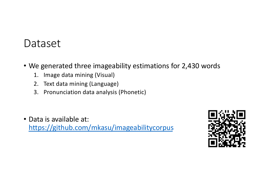#### Dataset

- We generated three imageability estimations for 2,430 words
	- 1. Image data mining (Visual)
	- 2. Text data mining (Language)
	- 3. Pronunciation data analysis (Phonetic)
- Data is available at: [https://github.com/mkasu/imageabilitycorpu](https://github.com/mkasu/imageabilitycorpus)s

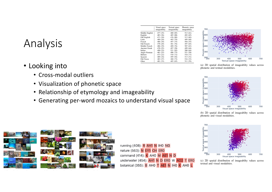### Analysis

- Looking into
	- Cross-modal outliers
	- Visualization of phonetic space
	- Relationship of etymology and imageability
	- Generating per-word mozaics to understand visual space

|                | Visual space<br>imageability | Textual space<br>imageability | Phonetic space<br>imageability |
|----------------|------------------------------|-------------------------------|--------------------------------|
| Middle English | 477 (35)                     | 480 (85)                      | 513 (61)                       |
| English        | 483 (36)                     | 485 (88)                      | 492 (65)                       |
| Old English    | 471 (30)                     | 476 (80)                      | 513 (60)                       |
| Latin          | 480 (28)                     | 485 (70)                      | 489 (68)                       |
| French         | 486 (30)                     | 497 (75)                      | 504 (55)                       |
| Old French     | 478 (29)                     | 481 (76)                      | 497 (65)                       |
| Middle French  | 486 (29)                     | 489 (76)                      | 507 (62)                       |
| Ancient Greek  | 478 (25)                     | 497 (58)                      | 499 (64)                       |
| Italian        | 490 (33)                     | 521 (95)                      | 500 (64)                       |
| Anglo-Norman   | 481 (25)                     | 486 (75)                      | 521 (58)                       |
| Hebrew         | 473 (22)                     | 510 (72)                      | 518 (73)                       |
| Spanish        | 489 (34)                     | 499 (94)                      | 513 (51)                       |
| Old Norse      | 483 (37)                     | 480 (73)                      | 516 (33)                       |
| Other          | 481 (33)                     | 485 (65)                      | 511 (59)                       |



(a) 2D spatial distribution of imageabilty values across phonetic and textual modalities.



(b) 2D spatial distribution of imageabilty values across phonetic and visual modalities.



(c) 2D spatial distribution of imageabilty values across textual and visual modalities.



running (408): R AH1 N IH0 NG nature (563): N EY1 CH ER0 command (414): K AHO M AE1 N D underwater (454): AH1 N D ER0 W AO2 T ER0 botanical (355): B AH0 T AE1 N IH0 K AH0 L